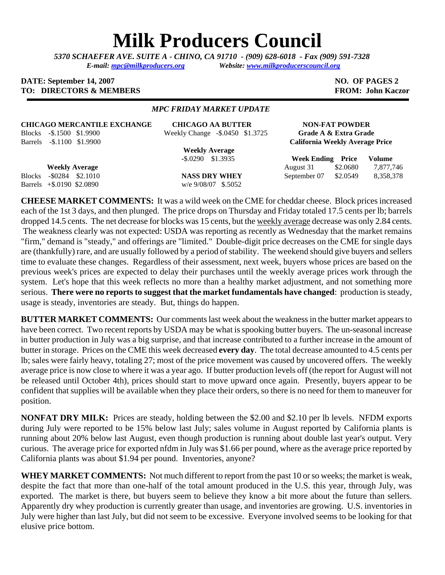# **Milk Producers Council**

*5370 SCHAEFER AVE. SUITE A* **-** *CHINO, CA 91710 - (909) 628-6018 - Fax (909) 591-7328 E-mail: [mpc@milkproducers.org](mailto:mpc@milkproducers.org) Website: [www.milkproducerscouncil.org](http://www.milkproducerscouncil.org/)* 

#### **DATE: September 14, 2007** NO. OF PAGES 2 **TO: DIRECTORS & MEMBERS FROM: John Kaczor FROM: John Kaczor**

#### *MPC FRIDAY MARKET UPDATE*

#### **CHICAGO MERCANTILE EXCHANGE CHICAGO AA BUTTER NON-FAT POWDER**

Blocks -\$.1500 \$1.9900 Weekly Change -\$.0450 \$1.3725 **Grade A & Extra Grade** 

 **Weekly Average** 

Barrels +\$.0190 \$2.0890 w/e 9/08/07 \$.5052

Barrels -\$.1100 \$1.9900 **California Weekly Average Price**

 **-**\$.0290 \$1.3935 **Week Ending Price Volume Weekly Average** August 31 \$2.0680 7,877,746 Blocks -\$0284 \$2.1010 **NASS DRY WHEY** September 07 \$2.0549 8,358,378

**CHEESE MARKET COMMENTS:** It was a wild week on the CME for cheddar cheese. Block prices increased each of the 1st 3 days, and then plunged. The price drops on Thursday and Friday totaled 17.5 cents per lb; barrels dropped 14.5 cents. The net decrease for blocks was 15 cents, but the weekly average decrease was only 2.84 cents. The weakness clearly was not expected: USDA was reporting as recently as Wednesday that the market remains "firm," demand is "steady," and offerings are "limited." Double-digit price decreases on the CME for single days are (thankfully) rare, and are usually followed by a period of stability. The weekend should give buyers and sellers time to evaluate these changes. Regardless of their assessment, next week, buyers whose prices are based on the previous week's prices are expected to delay their purchases until the weekly average prices work through the system. Let's hope that this week reflects no more than a healthy market adjustment, and not something more serious. **There were no reports to suggest that the market fundamentals have changed**: production is steady, usage is steady, inventories are steady. But, things do happen.

**BUTTER MARKET COMMENTS:** Our comments last week about the weakness in the butter market appears to have been correct. Two recent reports by USDA may be what is spooking butter buyers. The un-seasonal increase in butter production in July was a big surprise, and that increase contributed to a further increase in the amount of butter in storage. Prices on the CME this week decreased **every day**. The total decrease amounted to 4.5 cents per lb; sales were fairly heavy, totaling 27; most of the price movement was caused by uncovered offers. The weekly average price is now close to where it was a year ago. If butter production levels off (the report for August will not be released until October 4th), prices should start to move upward once again. Presently, buyers appear to be confident that supplies will be available when they place their orders, so there is no need for them to maneuver for position.

**NONFAT DRY MILK:** Prices are steady, holding between the \$2.00 and \$2.10 per lb levels. NFDM exports during July were reported to be 15% below last July; sales volume in August reported by California plants is running about 20% below last August, even though production is running about double last year's output. Very curious. The average price for exported nfdm in July was \$1.66 per pound, where as the average price reported by California plants was about \$1.94 per pound. Inventories, anyone?

**WHEY MARKET COMMENTS:** Not much different to report from the past 10 or so weeks; the market is weak, despite the fact that more than one-half of the total amount produced in the U.S. this year, through July, was exported. The market is there, but buyers seem to believe they know a bit more about the future than sellers. Apparently dry whey production is currently greater than usage, and inventories are growing. U.S. inventories in July were higher than last July, but did not seem to be excessive. Everyone involved seems to be looking for that elusive price bottom.